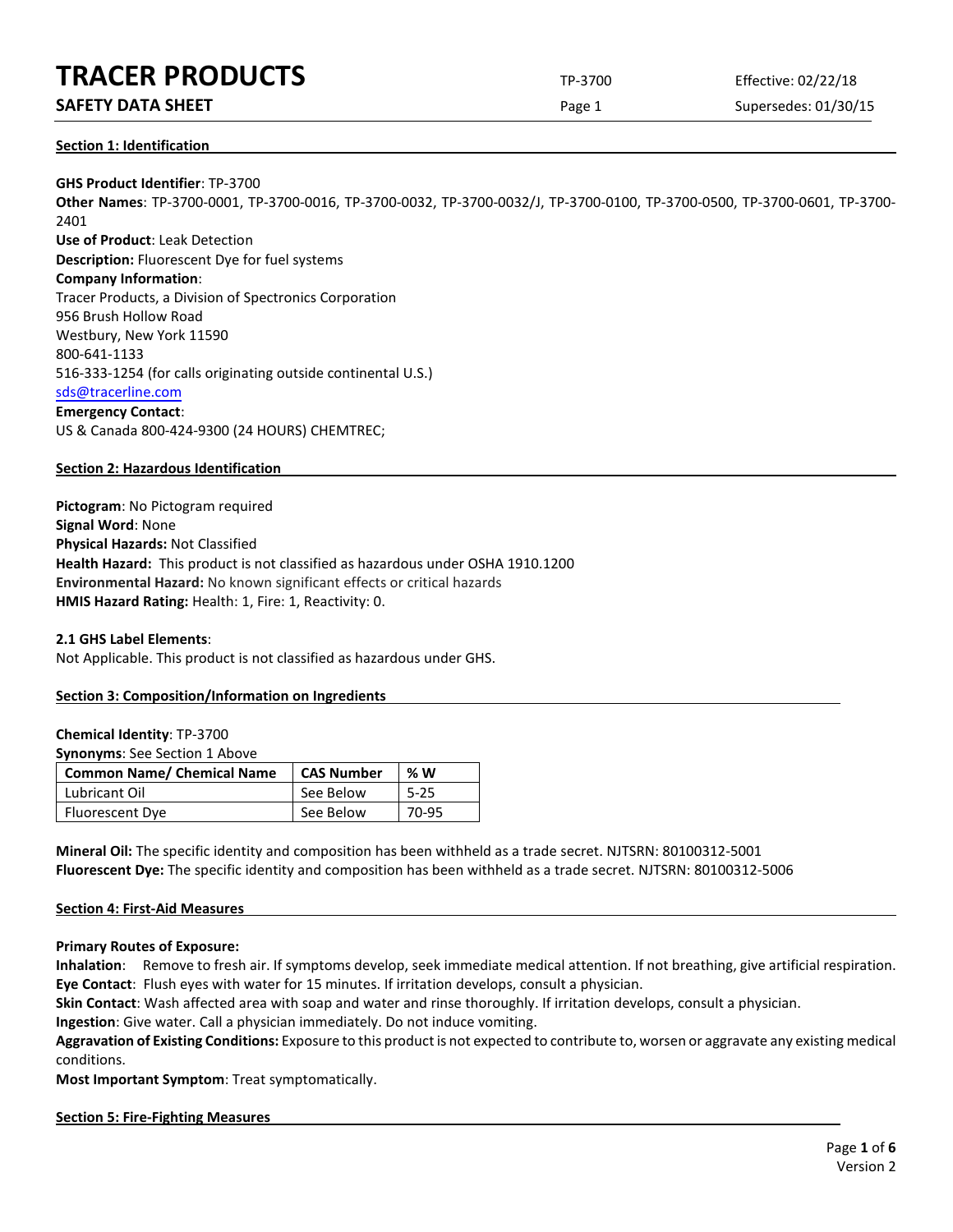## **SAFETY DATA SHEET** SUPERFOUR CONSUMING THE Page 1 Supersedes: 01/30/15

## **Section 1: Identification**

**GHS Product Identifier**: TP-3700 **Other Names**: TP-3700-0001, TP-3700-0016, TP-3700-0032, TP-3700-0032/J, TP-3700-0100, TP-3700-0500, TP-3700-0601, TP-3700- 2401 **Use of Product**: Leak Detection **Description:** Fluorescent Dye for fuel systems **Company Information**: Tracer Products, a Division of Spectronics Corporation 956 Brush Hollow Road Westbury, New York 11590 800-641-1133 516-333-1254 (for calls originating outside continental U.S.) [sds@tracerline.com](mailto:sds@tracerline.com) **Emergency Contact**: US & Canada 800-424-9300 (24 HOURS) CHEMTREC;

## **Section 2: Hazardous Identification**

**Pictogram**: No Pictogram required **Signal Word**: None **Physical Hazards:** Not Classified **Health Hazard:** This product is not classified as hazardous under OSHA 1910.1200 **Environmental Hazard:** No known significant effects or critical hazards **HMIS Hazard Rating:** Health: 1, Fire: 1, Reactivity: 0.

**2.1 GHS Label Elements**:

Not Applicable. This product is not classified as hazardous under GHS.

## **Section 3: Composition/Information on Ingredients**

**Chemical Identity**: TP-3700

**Synonyms**: See Section 1 Above

| <b>Common Name/ Chemical Name</b> | <b>CAS Number</b> | %W       |
|-----------------------------------|-------------------|----------|
| Lubricant Oil                     | See Below         | $5 - 25$ |
| <b>Fluorescent Dye</b>            | See Below         | 70-95    |

**Mineral Oil:** The specific identity and composition has been withheld as a trade secret. NJTSRN: 80100312-5001 **Fluorescent Dye:** The specific identity and composition has been withheld as a trade secret. NJTSRN: 80100312-5006

#### **Section 4: First-Aid Measures**

**Primary Routes of Exposure:**

**Inhalation**: Remove to fresh air. If symptoms develop, seek immediate medical attention. If not breathing, give artificial respiration. **Eye Contact**: Flush eyes with water for 15 minutes. If irritation develops, consult a physician.

**Skin Contact**: Wash affected area with soap and water and rinse thoroughly. If irritation develops, consult a physician.

**Ingestion**: Give water. Call a physician immediately. Do not induce vomiting.

**Aggravation of Existing Conditions:** Exposure to this product is not expected to contribute to, worsen or aggravate any existing medical conditions.

**Most Important Symptom**: Treat symptomatically.

#### **Section 5: Fire-Fighting Measures**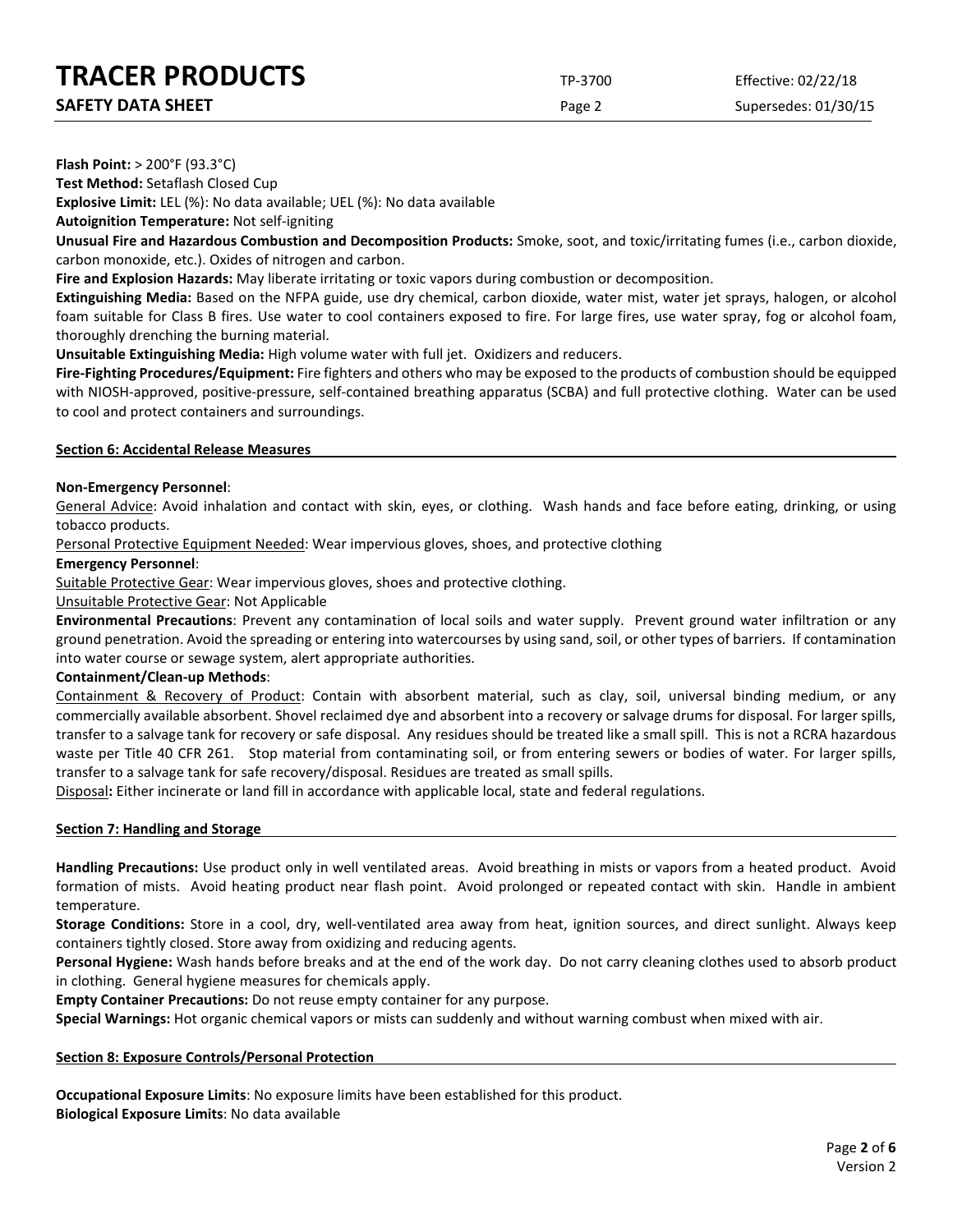Page 2 Supersedes: 01/30/15

**Flash Point:** > 200°F (93.3°C)

**Test Method:** Setaflash Closed Cup

**Explosive Limit:** LEL (%): No data available; UEL (%): No data available

**Autoignition Temperature:** Not self-igniting

**Unusual Fire and Hazardous Combustion and Decomposition Products:** Smoke, soot, and toxic/irritating fumes (i.e., carbon dioxide, carbon monoxide, etc.). Oxides of nitrogen and carbon.

**Fire and Explosion Hazards:** May liberate irritating or toxic vapors during combustion or decomposition.

**Extinguishing Media:** Based on the NFPA guide, use dry chemical, carbon dioxide, water mist, water jet sprays, halogen, or alcohol foam suitable for Class B fires. Use water to cool containers exposed to fire. For large fires, use water spray, fog or alcohol foam, thoroughly drenching the burning material.

**Unsuitable Extinguishing Media:** High volume water with full jet. Oxidizers and reducers.

**Fire-Fighting Procedures/Equipment:** Fire fighters and others who may be exposed to the products of combustion should be equipped with NIOSH-approved, positive-pressure, self-contained breathing apparatus (SCBA) and full protective clothing. Water can be used to cool and protect containers and surroundings.

## **Section 6: Accidental Release Measures**

## **Non-Emergency Personnel**:

General Advice: Avoid inhalation and contact with skin, eyes, or clothing. Wash hands and face before eating, drinking, or using tobacco products.

Personal Protective Equipment Needed: Wear impervious gloves, shoes, and protective clothing

## **Emergency Personnel**:

Suitable Protective Gear: Wear impervious gloves, shoes and protective clothing.

## Unsuitable Protective Gear: Not Applicable

**Environmental Precautions**: Prevent any contamination of local soils and water supply. Prevent ground water infiltration or any ground penetration. Avoid the spreading or entering into watercourses by using sand, soil, or other types of barriers. If contamination into water course or sewage system, alert appropriate authorities.

## **Containment/Clean-up Methods**:

Containment & Recovery of Product: Contain with absorbent material, such as clay, soil, universal binding medium, or any commercially available absorbent. Shovel reclaimed dye and absorbent into a recovery or salvage drums for disposal. For larger spills, transfer to a salvage tank for recovery or safe disposal. Any residues should be treated like a small spill. This is not a RCRA hazardous waste per Title 40 CFR 261. Stop material from contaminating soil, or from entering sewers or bodies of water. For larger spills, transfer to a salvage tank for safe recovery/disposal. Residues are treated as small spills.

Disposal**:** Either incinerate or land fill in accordance with applicable local, state and federal regulations.

#### **Section 7: Handling and Storage**

**Handling Precautions:** Use product only in well ventilated areas. Avoid breathing in mists or vapors from a heated product. Avoid formation of mists. Avoid heating product near flash point. Avoid prolonged or repeated contact with skin. Handle in ambient temperature.

**Storage Conditions:** Store in a cool, dry, well-ventilated area away from heat, ignition sources, and direct sunlight. Always keep containers tightly closed. Store away from oxidizing and reducing agents.

**Personal Hygiene:** Wash hands before breaks and at the end of the work day. Do not carry cleaning clothes used to absorb product in clothing. General hygiene measures for chemicals apply.

**Empty Container Precautions:** Do not reuse empty container for any purpose.

**Special Warnings:** Hot organic chemical vapors or mists can suddenly and without warning combust when mixed with air.

## **Section 8: Exposure Controls/Personal Protection**

**Occupational Exposure Limits**: No exposure limits have been established for this product. **Biological Exposure Limits**: No data available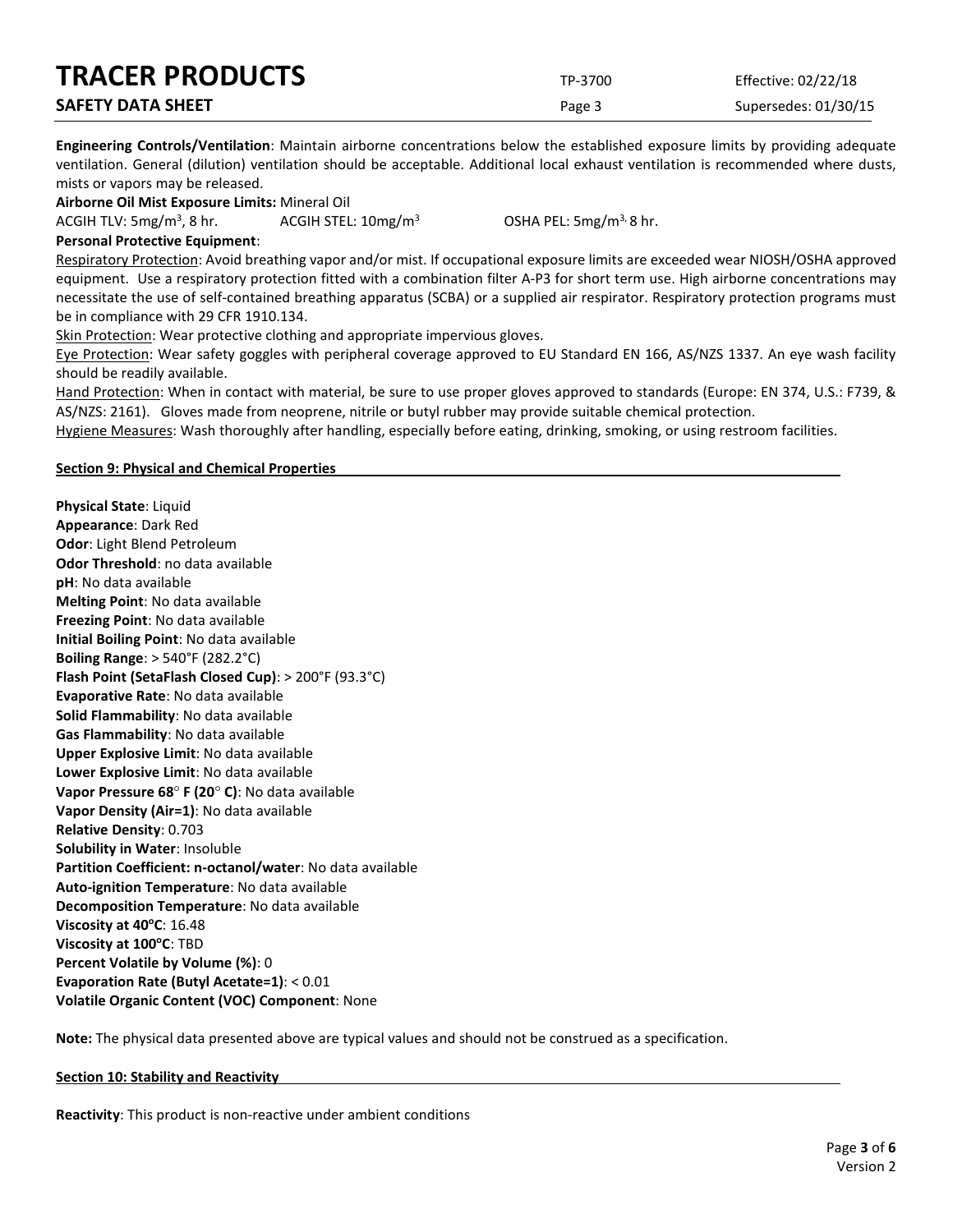| <b>TRACER PRODUCTS</b>   | TP-3700 | Effective: 02/22/18  |
|--------------------------|---------|----------------------|
| <b>SAFETY DATA SHEET</b> | Page 3  | Supersedes: 01/30/15 |

**Engineering Controls/Ventilation**: Maintain airborne concentrations below the established exposure limits by providing adequate ventilation. General (dilution) ventilation should be acceptable. Additional local exhaust ventilation is recommended where dusts, mists or vapors may be released.

**Airborne Oil Mist Exposure Limits:** Mineral Oil

ACGIH TLV:  $5mg/m<sup>3</sup>$ , 8 hr.

ACGIH STEL:  $10 \text{mg/m}^3$  OSHA PEL:  $5 \text{mg/m}^3$ , 8 hr.

**Personal Protective Equipment**:

Respiratory Protection: Avoid breathing vapor and/or mist. If occupational exposure limits are exceeded wear NIOSH/OSHA approved equipment. Use a respiratory protection fitted with a combination filter A-P3 for short term use. High airborne concentrations may necessitate the use of self-contained breathing apparatus (SCBA) or a supplied air respirator. Respiratory protection programs must be in compliance with 29 CFR 1910.134.

Skin Protection: Wear protective clothing and appropriate impervious gloves.

Eye Protection: Wear safety goggles with peripheral coverage approved to EU Standard EN 166, AS/NZS 1337. An eye wash facility should be readily available.

Hand Protection: When in contact with material, be sure to use proper gloves approved to standards (Europe: EN 374, U.S.: F739, & AS/NZS: 2161). Gloves made from neoprene, nitrile or butyl rubber may provide suitable chemical protection.

Hygiene Measures: Wash thoroughly after handling, especially before eating, drinking, smoking, or using restroom facilities.

## **Section 9: Physical and Chemical Properties**

**Physical State**: Liquid **Appearance**: Dark Red **Odor**: Light Blend Petroleum **Odor Threshold**: no data available **pH**: No data available **Melting Point**: No data available **Freezing Point**: No data available **Initial Boiling Point**: No data available **Boiling Range**: > 540°F (282.2°C) **Flash Point (SetaFlash Closed Cup)**: > 200°F (93.3°C) **Evaporative Rate**: No data available **Solid Flammability**: No data available **Gas Flammability**: No data available **Upper Explosive Limit**: No data available **Lower Explosive Limit**: No data available **Vapor Pressure 68**° **F (20**° **C)**: No data available **Vapor Density (Air=1)**: No data available **Relative Density**: 0.703 **Solubility in Water**: Insoluble **Partition Coefficient: n-octanol/water**: No data available **Auto-ignition Temperature**: No data available **Decomposition Temperature**: No data available **Viscosity at 40°C**: 16.48 **Viscosity at 100°C: TBD Percent Volatile by Volume (%)**: 0 **Evaporation Rate (Butyl Acetate=1)**: < 0.01 **Volatile Organic Content (VOC) Component**: None

**Note:** The physical data presented above are typical values and should not be construed as a specification.

#### **Section 10: Stability and Reactivity**

**Reactivity**: This product is non-reactive under ambient conditions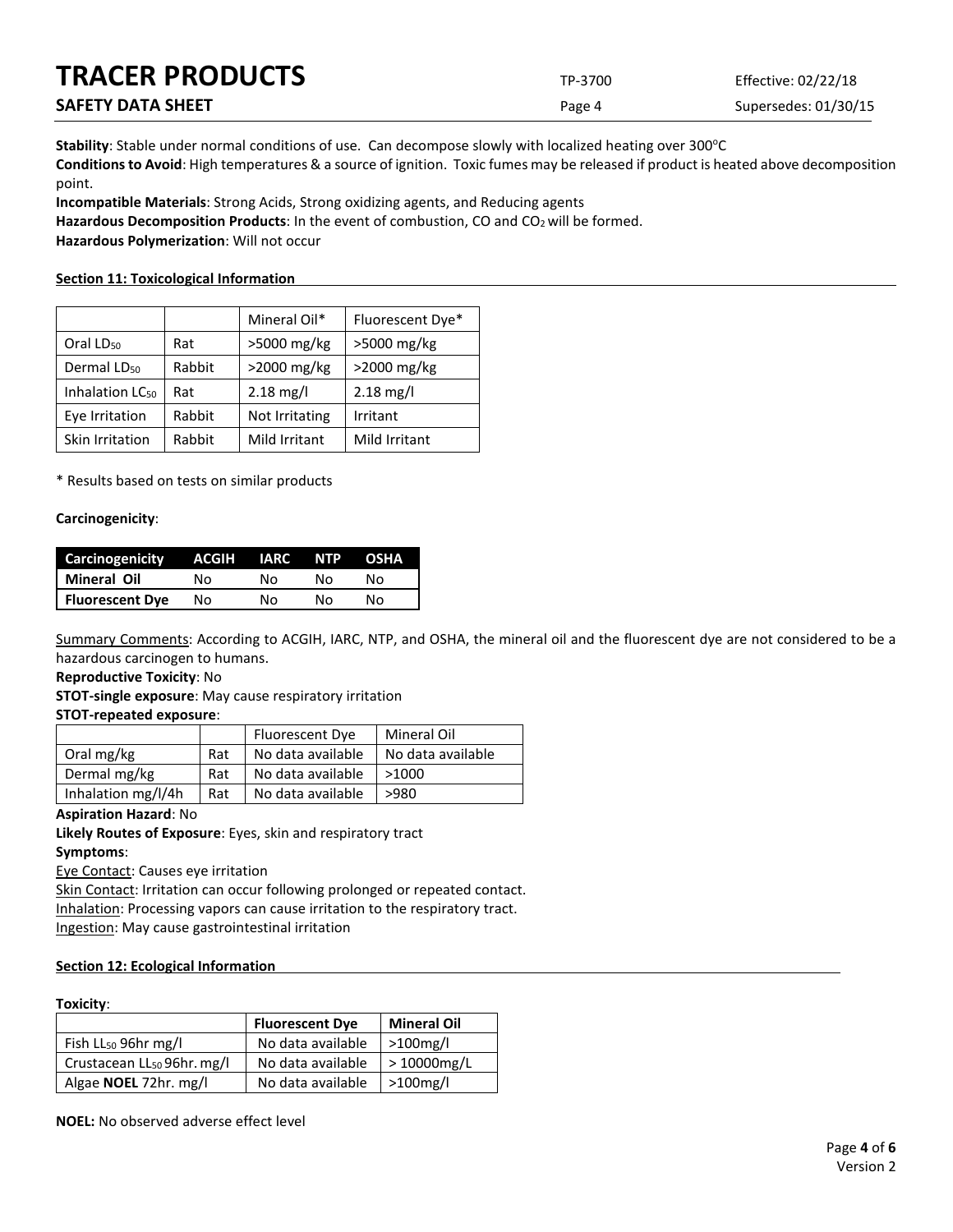| <b>TRACER PRODUCTS</b>   | TP-3700 | Effective: 02/22/18  |
|--------------------------|---------|----------------------|
| <b>SAFETY DATA SHEET</b> | Page 4  | Supersedes: 01/30/15 |

Stability: Stable under normal conditions of use. Can decompose slowly with localized heating over 300°C **Conditions to Avoid**: High temperatures & a source of ignition. Toxic fumes may be released if product is heated above decomposition point.

**Incompatible Materials**: Strong Acids, Strong oxidizing agents, and Reducing agents

Hazardous Decomposition Products: In the event of combustion, CO and CO<sub>2</sub> will be formed.

**Hazardous Polymerization**: Will not occur

## **Section 11: Toxicological Information**

|                             |        | Mineral Oil*        | Fluorescent Dye* |
|-----------------------------|--------|---------------------|------------------|
| Oral LD <sub>50</sub>       | Rat    | >5000 mg/kg         | >5000 mg/kg      |
| Dermal LD <sub>50</sub>     | Rabbit | >2000 mg/kg         | >2000 mg/kg      |
| Inhalation LC <sub>50</sub> | Rat    | $2.18 \text{ mg/l}$ | $2.18$ mg/l      |
| Eye Irritation              | Rabbit | Not Irritating      | Irritant         |
| Skin Irritation             | Rabbit | Mild Irritant       | Mild Irritant    |

\* Results based on tests on similar products

## **Carcinogenicity**:

| <b>Carcinogenicity</b> | ACGIH IARC |    | <b>TNTP</b> | <b>OSHA</b> |
|------------------------|------------|----|-------------|-------------|
| Mineral Oil            | N٥         | N٥ | N٥          | N٥          |
| <b>Fluorescent Dye</b> | Nο         | N٥ | N٥          | N٥          |

Summary Comments: According to ACGIH, IARC, NTP, and OSHA, the mineral oil and the fluorescent dye are not considered to be a hazardous carcinogen to humans.

## **Reproductive Toxicity**: No

**STOT-single exposure**: May cause respiratory irritation

**STOT-repeated exposure**:

|                    |     | Fluorescent Dye   | Mineral Oil       |
|--------------------|-----|-------------------|-------------------|
| Oral mg/kg         | Rat | No data available | No data available |
| Dermal mg/kg       | Rat | No data available | >1000             |
| Inhalation mg/l/4h | Rat | No data available | >980              |

## **Aspiration Hazard**: No

**Likely Routes of Exposure**: Eyes, skin and respiratory tract **Symptoms**:

Eye Contact: Causes eye irritation

Skin Contact: Irritation can occur following prolonged or repeated contact. Inhalation: Processing vapors can cause irritation to the respiratory tract. Ingestion: May cause gastrointestinal irritation

## **Section 12: Ecological Information**

#### **Toxicity**:

|                                        | <b>Fluorescent Dye</b> | <b>Mineral Oil</b> |
|----------------------------------------|------------------------|--------------------|
| Fish LL <sub>50</sub> 96hr mg/l        | No data available      | $>100$ mg/l        |
| Crustacean LL <sub>50</sub> 96hr. mg/l | No data available      | $>10000$ mg/L      |
| Algae <b>NOEL</b> 72hr. mg/l           | No data available      | $>100$ mg/l        |

**NOEL:** No observed adverse effect level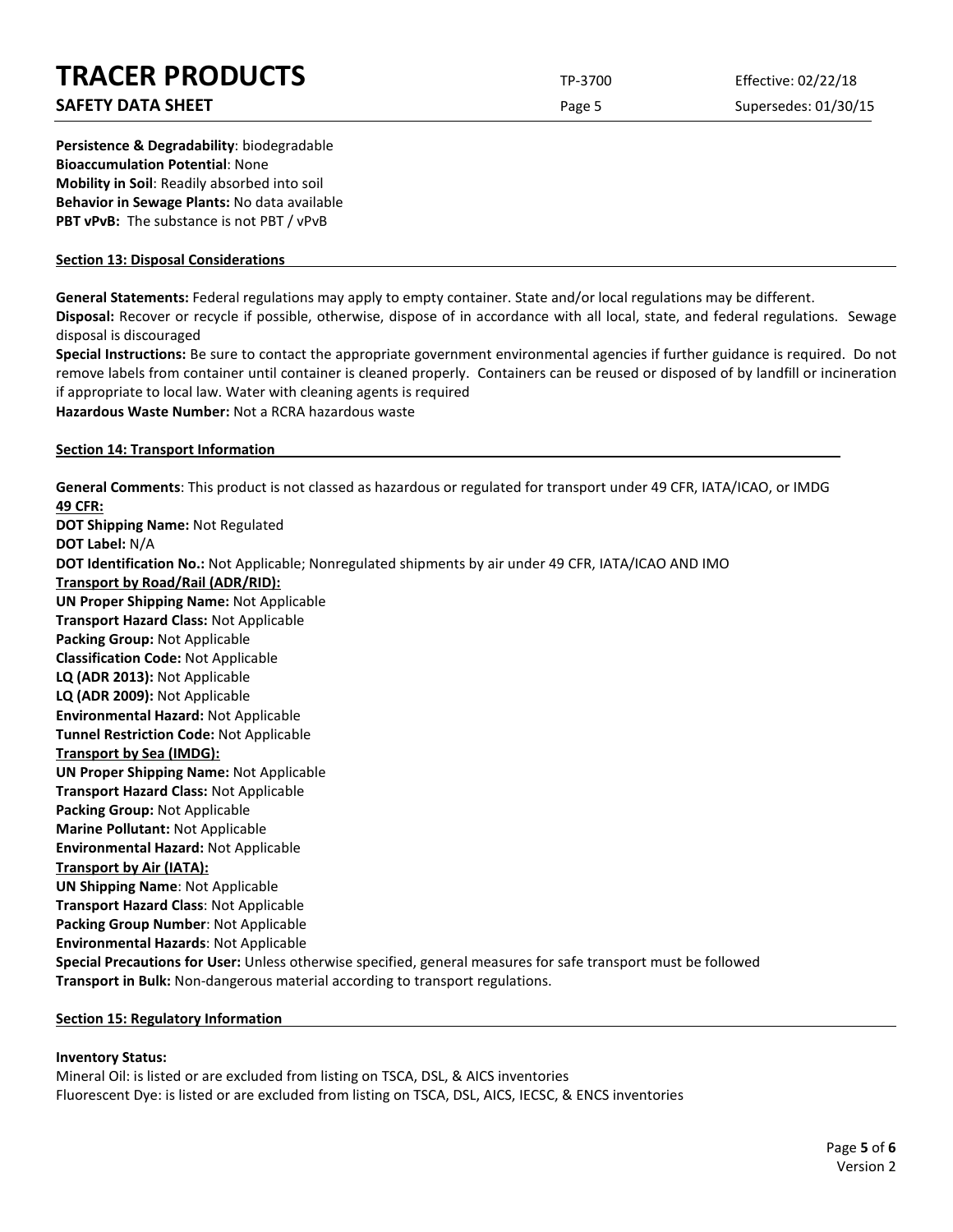## **SAFETY DATA SHEET** SUPERFOUR CONSUMING THE Page 5 Supersedes: 01/30/15

**Persistence & Degradability**: biodegradable **Bioaccumulation Potential**: None **Mobility in Soil**: Readily absorbed into soil **Behavior in Sewage Plants:** No data available **PBT vPvB:** The substance is not PBT / vPvB

## **Section 13: Disposal Considerations**

**General Statements:** Federal regulations may apply to empty container. State and/or local regulations may be different.

**Disposal:** Recover or recycle if possible, otherwise, dispose of in accordance with all local, state, and federal regulations. Sewage disposal is discouraged

**Special Instructions:** Be sure to contact the appropriate government environmental agencies if further guidance is required. Do not remove labels from container until container is cleaned properly. Containers can be reused or disposed of by landfill or incineration if appropriate to local law. Water with cleaning agents is required **Hazardous Waste Number:** Not a RCRA hazardous waste

#### **Section 14: Transport Information**

**General Comments**: This product is not classed as hazardous or regulated for transport under 49 CFR, IATA/ICAO, or IMDG **49 CFR: DOT Shipping Name:** Not Regulated **DOT Label:** N/A **DOT Identification No.:** Not Applicable; Nonregulated shipments by air under 49 CFR, IATA/ICAO AND IMO **Transport by Road/Rail (ADR/RID): UN Proper Shipping Name:** Not Applicable **Transport Hazard Class:** Not Applicable **Packing Group:** Not Applicable **Classification Code:** Not Applicable **LQ (ADR 2013):** Not Applicable **LQ (ADR 2009):** Not Applicable **Environmental Hazard:** Not Applicable **Tunnel Restriction Code:** Not Applicable **Transport by Sea (IMDG): UN Proper Shipping Name:** Not Applicable **Transport Hazard Class:** Not Applicable **Packing Group:** Not Applicable **Marine Pollutant:** Not Applicable **Environmental Hazard:** Not Applicable **Transport by Air (IATA): UN Shipping Name**: Not Applicable **Transport Hazard Class**: Not Applicable **Packing Group Number**: Not Applicable **Environmental Hazards**: Not Applicable **Special Precautions for User:** Unless otherwise specified, general measures for safe transport must be followed **Transport in Bulk:** Non-dangerous material according to transport regulations.

#### **Section 15: Regulatory Information**

#### **Inventory Status:**

Mineral Oil: is listed or are excluded from listing on TSCA, DSL, & AICS inventories Fluorescent Dye: is listed or are excluded from listing on TSCA, DSL, AICS, IECSC, & ENCS inventories